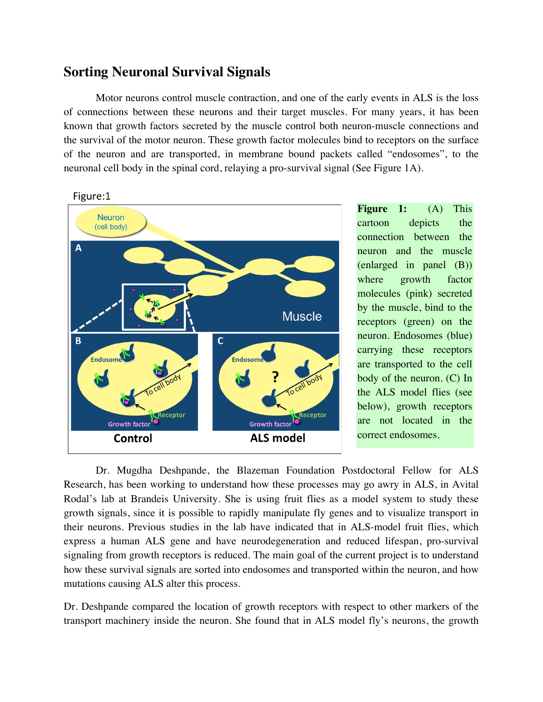## **Sorting Neuronal Survival Signals**

Motor neurons control muscle contraction, and one of the early events in ALS is the loss of connections between these neurons and their target muscles. For many years, it has been known that growth factors secreted by the muscle control both neuron-muscle connections and the survival of the motor neuron. These growth factor molecules bind to receptors on the surface of the neuron and are transported, in membrane bound packets called "endosomes", to the neuronal cell body in the spinal cord, relaying a pro-survival signal (See Figure 1A).





**Figure 1:** (A) This cartoon depicts the connection between the neuron and the muscle (enlarged in panel (B)) where growth factor molecules (pink) secreted by the muscle, bind to the receptors (green) on the neuron. Endosomes (blue) carrying these receptors are transported to the cell body of the neuron. (C) In the ALS model flies (see below), growth receptors are not located in the correct endosomes.

Dr. Mugdha Deshpande, the Blazeman Foundation Postdoctoral Fellow for ALS Research, has been working to understand how these processes may go awry in ALS, in Avital Rodal's lab at Brandeis University. She is using fruit flies as a model system to study these growth signals, since it is possible to rapidly manipulate fly genes and to visualize transport in their neurons. Previous studies in the lab have indicated that in ALS-model fruit flies, which express a human ALS gene and have neurodegeneration and reduced lifespan, pro-survival signaling from growth receptors is reduced. The main goal of the current project is to understand how these survival signals are sorted into endosomes and transported within the neuron, and how mutations causing ALS alter this process.

Dr. Deshpande compared the location of growth receptors with respect to other markers of the transport machinery inside the neuron. She found that in ALS model fly's neurons, the growth